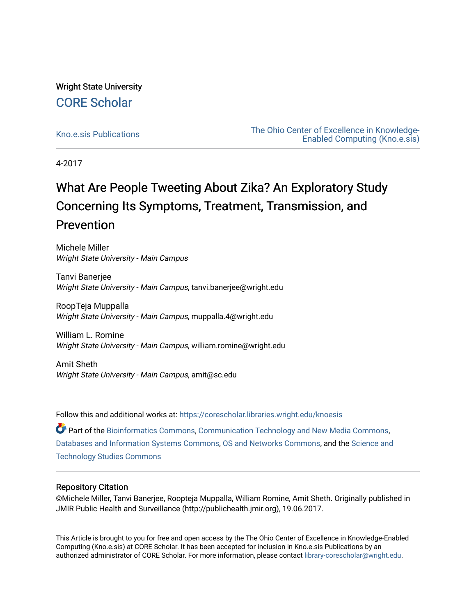# Wright State University [CORE Scholar](https://corescholar.libraries.wright.edu/)

[Kno.e.sis Publications](https://corescholar.libraries.wright.edu/knoesis) [The Ohio Center of Excellence in Knowledge-](https://corescholar.libraries.wright.edu/knoesis_comm)[Enabled Computing \(Kno.e.sis\)](https://corescholar.libraries.wright.edu/knoesis_comm) 

4-2017

# What Are People Tweeting About Zika? An Exploratory Study Concerning Its Symptoms, Treatment, Transmission, and Prevention

Michele Miller Wright State University - Main Campus

Tanvi Banerjee Wright State University - Main Campus, tanvi.banerjee@wright.edu

RoopTeja Muppalla Wright State University - Main Campus, muppalla.4@wright.edu

William L. Romine Wright State University - Main Campus, william.romine@wright.edu

Amit Sheth Wright State University - Main Campus, amit@sc.edu

Follow this and additional works at: [https://corescholar.libraries.wright.edu/knoesis](https://corescholar.libraries.wright.edu/knoesis?utm_source=corescholar.libraries.wright.edu%2Fknoesis%2F1126&utm_medium=PDF&utm_campaign=PDFCoverPages) 

Part of the [Bioinformatics Commons,](http://network.bepress.com/hgg/discipline/110?utm_source=corescholar.libraries.wright.edu%2Fknoesis%2F1126&utm_medium=PDF&utm_campaign=PDFCoverPages) [Communication Technology and New Media Commons,](http://network.bepress.com/hgg/discipline/327?utm_source=corescholar.libraries.wright.edu%2Fknoesis%2F1126&utm_medium=PDF&utm_campaign=PDFCoverPages) [Databases and Information Systems Commons](http://network.bepress.com/hgg/discipline/145?utm_source=corescholar.libraries.wright.edu%2Fknoesis%2F1126&utm_medium=PDF&utm_campaign=PDFCoverPages), [OS and Networks Commons](http://network.bepress.com/hgg/discipline/149?utm_source=corescholar.libraries.wright.edu%2Fknoesis%2F1126&utm_medium=PDF&utm_campaign=PDFCoverPages), and the [Science and](http://network.bepress.com/hgg/discipline/435?utm_source=corescholar.libraries.wright.edu%2Fknoesis%2F1126&utm_medium=PDF&utm_campaign=PDFCoverPages) [Technology Studies Commons](http://network.bepress.com/hgg/discipline/435?utm_source=corescholar.libraries.wright.edu%2Fknoesis%2F1126&utm_medium=PDF&utm_campaign=PDFCoverPages) 

## Repository Citation

©Michele Miller, Tanvi Banerjee, Roopteja Muppalla, William Romine, Amit Sheth. Originally published in JMIR Public Health and Surveillance (http://publichealth.jmir.org), 19.06.2017.

This Article is brought to you for free and open access by the The Ohio Center of Excellence in Knowledge-Enabled Computing (Kno.e.sis) at CORE Scholar. It has been accepted for inclusion in Kno.e.sis Publications by an authorized administrator of CORE Scholar. For more information, please contact [library-corescholar@wright.edu](mailto:library-corescholar@wright.edu).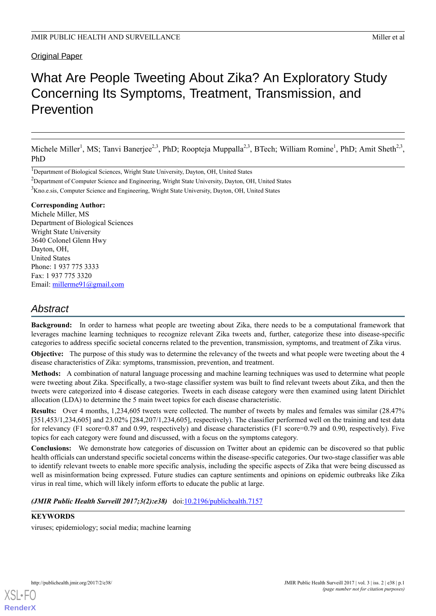## Original Paper

# What Are People Tweeting About Zika? An Exploratory Study Concerning Its Symptoms, Treatment, Transmission, and Prevention

Michele Miller<sup>1</sup>, MS; Tanvi Banerjee<sup>2,3</sup>, PhD; Roopteja Muppalla<sup>2,3</sup>, BTech; William Romine<sup>1</sup>, PhD; Amit Sheth<sup>2,3</sup>, PhD

<sup>1</sup>Department of Biological Sciences, Wright State University, Dayton, OH, United States

<sup>2</sup>Department of Computer Science and Engineering, Wright State University, Dayton, OH, United States

<sup>3</sup>Kno.e.sis, Computer Science and Engineering, Wright State University, Dayton, OH, United States

#### **Corresponding Author:**

Michele Miller, MS Department of Biological Sciences Wright State University 3640 Colonel Glenn Hwy Dayton, OH, United States Phone: 1 937 775 3333 Fax: 1 937 775 3320 Email: [millerme91@gmail.com](mailto:millerme91@gmail.com)

## *Abstract*

**Background:** In order to harness what people are tweeting about Zika, there needs to be a computational framework that leverages machine learning techniques to recognize relevant Zika tweets and, further, categorize these into disease-specific categories to address specific societal concerns related to the prevention, transmission, symptoms, and treatment of Zika virus.

**Objective:** The purpose of this study was to determine the relevancy of the tweets and what people were tweeting about the 4 disease characteristics of Zika: symptoms, transmission, prevention, and treatment.

**Methods:** A combination of natural language processing and machine learning techniques was used to determine what people were tweeting about Zika. Specifically, a two-stage classifier system was built to find relevant tweets about Zika, and then the tweets were categorized into 4 disease categories. Tweets in each disease category were then examined using latent Dirichlet allocation (LDA) to determine the 5 main tweet topics for each disease characteristic.

**Results:** Over 4 months, 1,234,605 tweets were collected. The number of tweets by males and females was similar (28.47% [351,453/1,234,605] and 23.02% [284,207/1,234,605], respectively). The classifier performed well on the training and test data for relevancy (F1 score=0.87 and 0.99, respectively) and disease characteristics (F1 score=0.79 and 0.90, respectively). Five topics for each category were found and discussed, with a focus on the symptoms category.

**Conclusions:** We demonstrate how categories of discussion on Twitter about an epidemic can be discovered so that public health officials can understand specific societal concerns within the disease-specific categories. Our two-stage classifier was able to identify relevant tweets to enable more specific analysis, including the specific aspects of Zika that were being discussed as well as misinformation being expressed. Future studies can capture sentiments and opinions on epidemic outbreaks like Zika virus in real time, which will likely inform efforts to educate the public at large.

*(JMIR Public Health Surveill 2017;3(2):e38)* doi:[10.2196/publichealth.7157](http://dx.doi.org/10.2196/publichealth.7157)

## **KEYWORDS**

viruses; epidemiology; social media; machine learning



**[RenderX](http://www.renderx.com/)**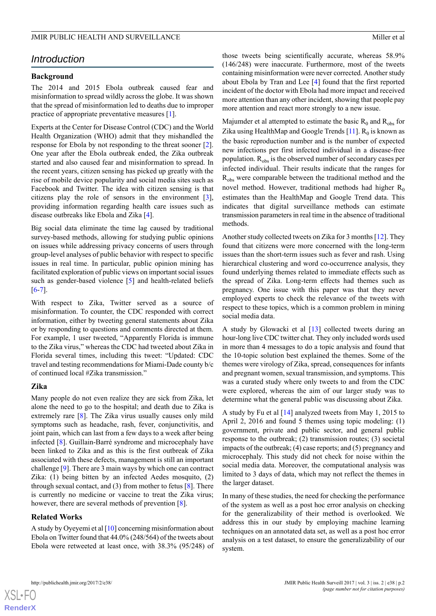## *Introduction*

#### **Background**

The 2014 and 2015 Ebola outbreak caused fear and misinformation to spread wildly across the globe. It was shown that the spread of misinformation led to deaths due to improper practice of appropriate preventative measures [\[1](#page-13-0)].

Experts at the Center for Disease Control (CDC) and the World Health Organization (WHO) admit that they mishandled the response for Ebola by not responding to the threat sooner [[2\]](#page-13-1). One year after the Ebola outbreak ended, the Zika outbreak started and also caused fear and misinformation to spread. In the recent years, citizen sensing has picked up greatly with the rise of mobile device popularity and social media sites such as Facebook and Twitter. The idea with citizen sensing is that citizens play the role of sensors in the environment [[3\]](#page-13-2), providing information regarding health care issues such as disease outbreaks like Ebola and Zika [[4](#page-13-3)].

Big social data eliminate the time lag caused by traditional survey-based methods, allowing for studying public opinions on issues while addressing privacy concerns of users through group-level analyses of public behavior with respect to specific issues in real time. In particular, public opinion mining has facilitated exploration of public views on important social issues such as gender-based violence [[5](#page-13-4)] and health-related beliefs  $[6-7]$  $[6-7]$  $[6-7]$  $[6-7]$ .

With respect to Zika, Twitter served as a source of misinformation. To counter, the CDC responded with correct information, either by tweeting general statements about Zika or by responding to questions and comments directed at them. For example, 1 user tweeted, "Apparently Florida is immune to the Zika virus," whereas the CDC had tweeted about Zika in Florida several times, including this tweet: "Updated: CDC travel and testing recommendations for Miami-Dade county b/c of continued local #Zika transmission."

#### **Zika**

Many people do not even realize they are sick from Zika, let alone the need to go to the hospital; and death due to Zika is extremely rare [\[8](#page-13-7)]. The Zika virus usually causes only mild symptoms such as headache, rash, fever, conjunctivitis, and joint pain, which can last from a few days to a week after being infected [[8\]](#page-13-7). Guillain-Barré syndrome and microcephaly have been linked to Zika and as this is the first outbreak of Zika associated with these defects, management is still an important challenge [\[9](#page-13-8)]. There are 3 main ways by which one can contract Zika: (1) being bitten by an infected Aedes mosquito, (2) through sexual contact, and  $(3)$  from mother to fetus  $[8]$  $[8]$ . There is currently no medicine or vaccine to treat the Zika virus; however, there are several methods of prevention [\[8](#page-13-7)].

#### **Related Works**

A study by Oyeyemi et al  $[10]$  $[10]$  concerning misinformation about Ebola on Twitter found that 44.0% (248/564) of the tweets about Ebola were retweeted at least once, with 38.3% (95/248) of those tweets being scientifically accurate, whereas 58.9% (146/248) were inaccurate. Furthermore, most of the tweets containing misinformation were never corrected. Another study about Ebola by Tran and Lee [\[4](#page-13-3)] found that the first reported incident of the doctor with Ebola had more impact and received more attention than any other incident, showing that people pay more attention and react more strongly to a new issue.

Majumder et al attempted to estimate the basic  $R_0$  and  $R_{obs}$  for Zika using HealthMap and Google Trends  $[11]$ .  $R_0$  is known as the basic reproduction number and is the number of expected new infections per first infected individual in a disease-free population.  $R_{obs}$  is the observed number of secondary cases per infected individual. Their results indicate that the ranges for R<sub>obs</sub> were comparable between the traditional method and the novel method. However, traditional methods had higher  $R_0$ estimates than the HealthMap and Google Trend data. This indicates that digital surveillance methods can estimate transmission parameters in real time in the absence of traditional methods.

Another study collected tweets on Zika for 3 months [\[12](#page-13-11)]. They found that citizens were more concerned with the long-term issues than the short-term issues such as fever and rash. Using hierarchical clustering and word co-occurrence analysis, they found underlying themes related to immediate effects such as the spread of Zika. Long-term effects had themes such as pregnancy. One issue with this paper was that they never employed experts to check the relevance of the tweets with respect to these topics, which is a common problem in mining social media data.

A study by Glowacki et al [\[13](#page-13-12)] collected tweets during an hour-long live CDC twitter chat. They only included words used in more than 4 messages to do a topic analysis and found that the 10-topic solution best explained the themes. Some of the themes were virology of Zika, spread, consequences for infants and pregnant women, sexual transmission, and symptoms. This was a curated study where only tweets to and from the CDC were explored, whereas the aim of our larger study was to determine what the general public was discussing about Zika.

A study by Fu et al [[14\]](#page-13-13) analyzed tweets from May 1, 2015 to April 2, 2016 and found 5 themes using topic modeling: (1) government, private and public sector, and general public response to the outbreak; (2) transmission routes; (3) societal impacts of the outbreak; (4) case reports; and (5) pregnancy and microcephaly. This study did not check for noise within the social media data. Moreover, the computational analysis was limited to 3 days of data, which may not reflect the themes in the larger dataset.

In many of these studies, the need for checking the performance of the system as well as a post hoc error analysis on checking for the generalizability of their method is overlooked. We address this in our study by employing machine learning techniques on an annotated data set, as well as a post hoc error analysis on a test dataset, to ensure the generalizability of our system.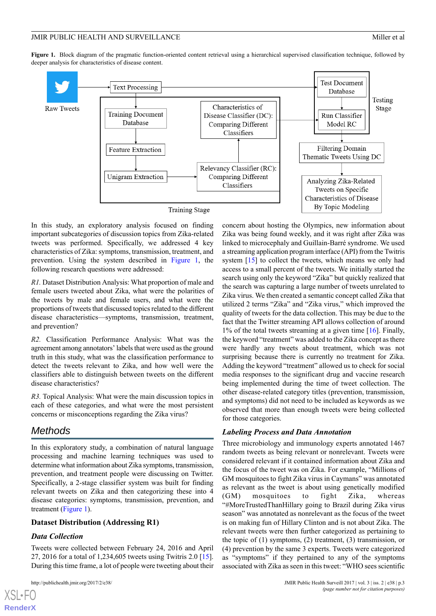<span id="page-3-0"></span>**Figure 1.** Block diagram of the pragmatic function-oriented content retrieval using a hierarchical supervised classification technique, followed by deeper analysis for characteristics of disease content.



In this study, an exploratory analysis focused on finding important subcategories of discussion topics from Zika-related tweets was performed. Specifically, we addressed 4 key characteristics of Zika: symptoms, transmission, treatment, and prevention. Using the system described in [Figure 1,](#page-3-0) the following research questions were addressed:

*R1.* Dataset Distribution Analysis: What proportion of male and female users tweeted about Zika, what were the polarities of the tweets by male and female users, and what were the proportions of tweets that discussed topics related to the different disease characteristics—symptoms, transmission, treatment, and prevention?

*R2.* Classification Performance Analysis: What was the agreement among annotators' labels that were used as the ground truth in this study, what was the classification performance to detect the tweets relevant to Zika, and how well were the classifiers able to distinguish between tweets on the different disease characteristics?

*R3.* Topical Analysis: What were the main discussion topics in each of these categories, and what were the most persistent concerns or misconceptions regarding the Zika virus?

## *Methods*

In this exploratory study, a combination of natural language processing and machine learning techniques was used to determine what information about Zika symptoms, transmission, prevention, and treatment people were discussing on Twitter. Specifically, a 2-stage classifier system was built for finding relevant tweets on Zika and then categorizing these into 4 disease categories: symptoms, transmission, prevention, and treatment [\(Figure 1\)](#page-3-0).

## **Dataset Distribution (Addressing R1)**

## *Data Collection*

Tweets were collected between February 24, 2016 and April 27, 2016 for a total of 1,234,605 tweets using Twitris 2.0 [[15\]](#page-13-14). During this time frame, a lot of people were tweeting about their concern about hosting the Olympics, new information about Zika was being found weekly, and it was right after Zika was linked to microcephaly and Guillain-Barré syndrome. We used a streaming application program interface (API) from the Twitris system [\[15](#page-13-14)] to collect the tweets, which means we only had access to a small percent of the tweets. We initially started the search using only the keyword "Zika" but quickly realized that the search was capturing a large number of tweets unrelated to Zika virus. We then created a semantic concept called Zika that utilized 2 terms "Zika" and "Zika virus," which improved the quality of tweets for the data collection. This may be due to the fact that the Twitter streaming API allows collection of around 1% of the total tweets streaming at a given time [[16\]](#page-13-15). Finally, the keyword "treatment" was added to the Zika concept as there were hardly any tweets about treatment, which was not surprising because there is currently no treatment for Zika. Adding the keyword "treatment" allowed us to check for social media responses to the significant drug and vaccine research being implemented during the time of tweet collection. The other disease-related category titles (prevention, transmission, and symptoms) did not need to be included as keywords as we observed that more than enough tweets were being collected for those categories.

## *Labeling Process and Data Annotation*

Three microbiology and immunology experts annotated 1467 random tweets as being relevant or nonrelevant. Tweets were considered relevant if it contained information about Zika and the focus of the tweet was on Zika. For example, "Millions of GM mosquitoes to fight Zika virus in Caymans" was annotated as relevant as the tweet is about using genetically modified (GM) mosquitoes to fight Zika, whereas "#MoreTrustedThanHillary going to Brazil during Zika virus season" was annotated as nonrelevant as the focus of the tweet is on making fun of Hillary Clinton and is not about Zika. The relevant tweets were then further categorized as pertaining to the topic of  $(1)$  symptoms,  $(2)$  treatment,  $(3)$  transmission, or (4) prevention by the same 3 experts. Tweets were categorized as "symptoms" if they pertained to any of the symptoms associated with Zika as seen in this tweet: "WHO sees scientific

[XSL](http://www.w3.org/Style/XSL)•FO **[RenderX](http://www.renderx.com/)**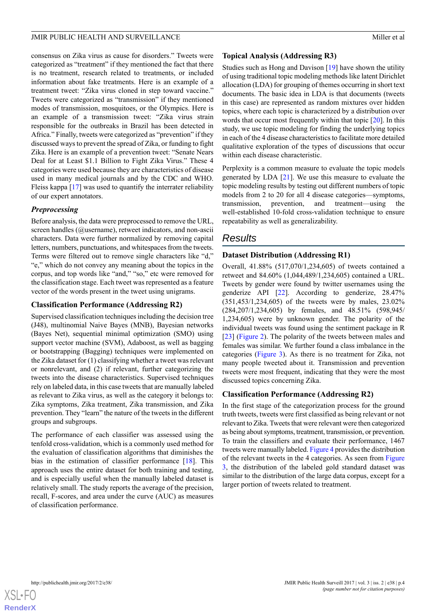consensus on Zika virus as cause for disorders." Tweets were categorized as "treatment" if they mentioned the fact that there is no treatment, research related to treatments, or included information about fake treatments. Here is an example of a treatment tweet: "Zika virus cloned in step toward vaccine." Tweets were categorized as "transmission" if they mentioned modes of transmission, mosquitoes, or the Olympics. Here is an example of a transmission tweet: "Zika virus strain responsible for the outbreaks in Brazil has been detected in Africa." Finally, tweets were categorized as "prevention" if they discussed ways to prevent the spread of Zika, or funding to fight Zika. Here is an example of a prevention tweet: "Senate Nears Deal for at Least \$1.1 Billion to Fight Zika Virus." These 4 categories were used because they are characteristics of disease used in many medical journals and by the CDC and WHO. Fleiss kappa [\[17](#page-13-16)] was used to quantify the interrater reliability of our expert annotators.

## *Preprocessing*

Before analysis, the data were preprocessed to remove the URL, screen handles (@username), retweet indicators, and non-ascii characters. Data were further normalized by removing capital letters, numbers, punctuations, and whitespaces from the tweets. Terms were filtered out to remove single characters like "d," "e," which do not convey any meaning about the topics in the corpus, and top words like "and," "so," etc were removed for the classification stage. Each tweet was represented as a feature vector of the words present in the tweet using unigrams.

## **Classification Performance (Addressing R2)**

Supervised classification techniques including the decision tree (J48), multinomial Naive Bayes (MNB), Bayesian networks (Bayes Net), sequential minimal optimization (SMO) using support vector machine (SVM), Adaboost, as well as bagging or bootstrapping (Bagging) techniques were implemented on the Zika dataset for (1) classifying whether a tweet was relevant or nonrelevant, and (2) if relevant, further categorizing the tweets into the disease characteristics. Supervised techniques rely on labeled data, in this case tweets that are manually labeled as relevant to Zika virus, as well as the category it belongs to: Zika symptoms, Zika treatment, Zika transmission, and Zika prevention. They "learn" the nature of the tweets in the different groups and subgroups.

The performance of each classifier was assessed using the tenfold cross-validation, which is a commonly used method for the evaluation of classification algorithms that diminishes the bias in the estimation of classifier performance [\[18](#page-13-17)]. This approach uses the entire dataset for both training and testing, and is especially useful when the manually labeled dataset is relatively small. The study reports the average of the precision, recall, F-scores, and area under the curve (AUC) as measures of classification performance.

## **Topical Analysis (Addressing R3)**

Studies such as Hong and Davison [\[19](#page-13-18)] have shown the utility of using traditional topic modeling methods like latent Dirichlet allocation (LDA) for grouping of themes occurring in short text documents. The basic idea in LDA is that documents (tweets in this case) are represented as random mixtures over hidden topics, where each topic is characterized by a distribution over words that occur most frequently within that topic [\[20](#page-13-19)]. In this study, we use topic modeling for finding the underlying topics in each of the 4 disease characteristics to facilitate more detailed qualitative exploration of the types of discussions that occur within each disease characteristic.

Perplexity is a common measure to evaluate the topic models generated by LDA [\[21](#page-13-20)]. We use this measure to evaluate the topic modeling results by testing out different numbers of topic models from 2 to 20 for all 4 disease categories—symptoms, transmission, prevention, and treatment—using the well-established 10-fold cross-validation technique to ensure repeatability as well as generalizability.

# *Results*

## **Dataset Distribution (Addressing R1)**

Overall, 41.88% (517,070/1,234,605) of tweets contained a retweet and 84.60% (1,044,489/1,234,605) contained a URL. Tweets by gender were found by twitter usernames using the genderize API [[22\]](#page-14-0). According to genderize, 28.47% (351,453/1,234,605) of the tweets were by males, 23.02% (284,207/1,234,605) by females, and 48.51% (598,945/ 1,234,605) were by unknown gender. The polarity of the individual tweets was found using the sentiment package in R [[23\]](#page-14-1) [\(Figure 2](#page-5-0)). The polarity of the tweets between males and females was similar. We further found a class imbalance in the categories [\(Figure 3](#page-5-1)). As there is no treatment for Zika, not many people tweeted about it. Transmission and prevention tweets were most frequent, indicating that they were the most discussed topics concerning Zika.

## **Classification Performance (Addressing R2)**

In the first stage of the categorization process for the ground truth tweets, tweets were first classified as being relevant or not relevant to Zika. Tweets that were relevant were then categorized as being about symptoms, treatment, transmission, or prevention. To train the classifiers and evaluate their performance, 1467 tweets were manually labeled. [Figure 4](#page-6-0) provides the distribution of the relevant tweets in the 4 categories. As seen from [Figure](#page-5-1) [3,](#page-5-1) the distribution of the labeled gold standard dataset was similar to the distribution of the large data corpus, except for a larger portion of tweets related to treatment.

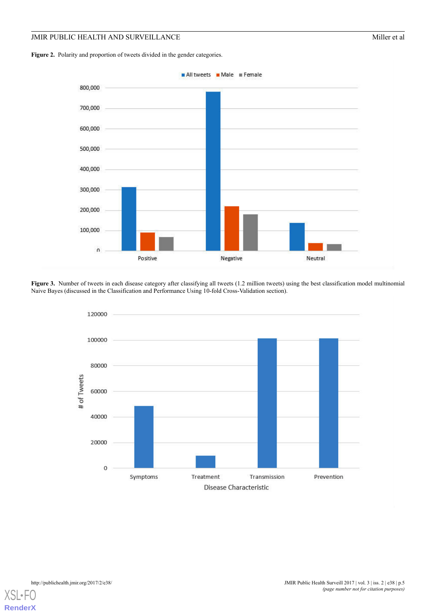<span id="page-5-0"></span>Figure 2. Polarity and proportion of tweets divided in the gender categories.



<span id="page-5-1"></span>**Figure 3.** Number of tweets in each disease category after classifying all tweets (1.2 million tweets) using the best classification model multinomial Naive Bayes (discussed in the Classification and Performance Using 10-fold Cross-Validation section).



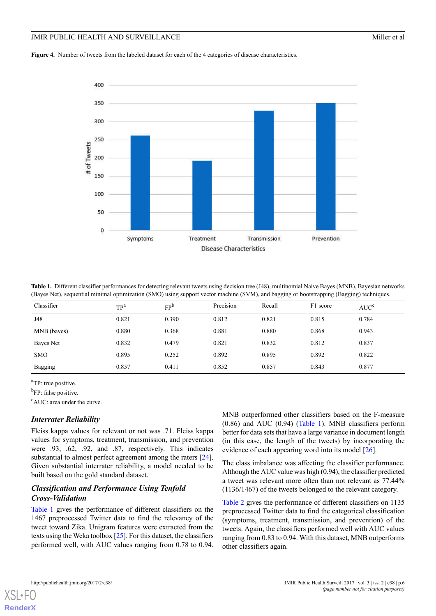#### JMIR PUBLIC HEALTH AND SURVEILLANCE **Miller et al.** Miller et al.

<span id="page-6-0"></span>Figure 4. Number of tweets from the labeled dataset for each of the 4 categories of disease characteristics.



<span id="page-6-1"></span>**Table 1.** Different classifier performances for detecting relevant tweets using decision tree (J48), multinomial Naive Bayes (MNB), Bayesian networks (Bayes Net), sequential minimal optimization (SMO) using support vector machine (SVM), and bagging or bootstrapping (Bagging) techniques.

| Classifier  | $TP^a$ | FP <sup>b</sup> | Precision | Recall | F1 score | AUC <sup>c</sup> |
|-------------|--------|-----------------|-----------|--------|----------|------------------|
| J48         | 0.821  | 0.390           | 0.812     | 0.821  | 0.815    | 0.784            |
| MNB (bayes) | 0.880  | 0.368           | 0.881     | 0.880  | 0.868    | 0.943            |
| Bayes Net   | 0.832  | 0.479           | 0.821     | 0.832  | 0.812    | 0.837            |
| <b>SMO</b>  | 0.895  | 0.252           | 0.892     | 0.895  | 0.892    | 0.822            |
| Bagging     | 0.857  | 0.411           | 0.852     | 0.857  | 0.843    | 0.877            |

<sup>a</sup>TP: true positive.

<sup>b</sup>FP: false positive.

<sup>c</sup>AUC: area under the curve.

## *Interrater Reliability*

Fleiss kappa values for relevant or not was .71. Fleiss kappa values for symptoms, treatment, transmission, and prevention were .93, .62, .92, and .87, respectively. This indicates substantial to almost perfect agreement among the raters [[24\]](#page-14-2). Given substantial interrater reliability, a model needed to be built based on the gold standard dataset.

## *Classification and Performance Using Tenfold Cross-Validation*

[Table 1](#page-6-1) gives the performance of different classifiers on the 1467 preprocessed Twitter data to find the relevancy of the tweet toward Zika. Unigram features were extracted from the texts using the Weka toolbox [[25](#page-14-3)]. For this dataset, the classifiers performed well, with AUC values ranging from 0.78 to 0.94.

MNB outperformed other classifiers based on the F-measure (0.86) and AUC (0.94) ([Table 1](#page-6-1)). MNB classifiers perform better for data sets that have a large variance in document length (in this case, the length of the tweets) by incorporating the evidence of each appearing word into its model [[26\]](#page-14-4).

The class imbalance was affecting the classifier performance. Although the AUC value was high (0.94), the classifier predicted a tweet was relevant more often than not relevant as 77.44% (1136/1467) of the tweets belonged to the relevant category.

[Table 2](#page-7-0) gives the performance of different classifiers on 1135 preprocessed Twitter data to find the categorical classification (symptoms, treatment, transmission, and prevention) of the tweets. Again, the classifiers performed well with AUC values ranging from 0.83 to 0.94. With this dataset, MNB outperforms other classifiers again.



**[RenderX](http://www.renderx.com/)**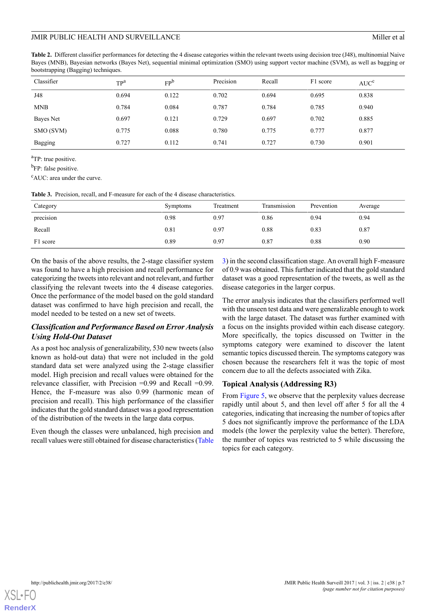<span id="page-7-0"></span>**Table 2.** Different classifier performances for detecting the 4 disease categories within the relevant tweets using decision tree (J48), multinomial Naive Bayes (MNB), Bayesian networks (Bayes Net), sequential minimal optimization (SMO) using support vector machine (SVM), as well as bagging or bootstrapping (Bagging) techniques.

| Classifier | $TP^a$ | FP <sup>b</sup> | Precision | Recall | F1 score | AUC <sup>c</sup> |
|------------|--------|-----------------|-----------|--------|----------|------------------|
| J48        | 0.694  | 0.122           | 0.702     | 0.694  | 0.695    | 0.838            |
| <b>MNB</b> | 0.784  | 0.084           | 0.787     | 0.784  | 0.785    | 0.940            |
| Bayes Net  | 0.697  | 0.121           | 0.729     | 0.697  | 0.702    | 0.885            |
| SMO (SVM)  | 0.775  | 0.088           | 0.780     | 0.775  | 0.777    | 0.877            |
| Bagging    | 0.727  | 0.112           | 0.741     | 0.727  | 0.730    | 0.901            |

<sup>a</sup>TP: true positive.

<sup>b</sup>FP: false positive.

<span id="page-7-1"></span><sup>c</sup>AUC: area under the curve.

|  |  |  |  |  |  |  | <b>Table 3.</b> Precision, recall, and F-measure for each of the 4 disease characteristics. |
|--|--|--|--|--|--|--|---------------------------------------------------------------------------------------------|
|--|--|--|--|--|--|--|---------------------------------------------------------------------------------------------|

| Category              | <b>Symptoms</b> | Treatment | Transmission | Prevention | Average |
|-----------------------|-----------------|-----------|--------------|------------|---------|
| $\cdots$<br>precision | 0.98            | 0.97      | 0.86         | 0.94       | 0.94    |
| Recall                | 0.81            | 0.97      | 0.88         | 0.83       | 0.87    |
| F1 score              | 0.89            | 0.97      | 0.87         | 0.88       | 0.90    |

On the basis of the above results, the 2-stage classifier system was found to have a high precision and recall performance for categorizing the tweets into relevant and not relevant, and further classifying the relevant tweets into the 4 disease categories. Once the performance of the model based on the gold standard dataset was confirmed to have high precision and recall, the model needed to be tested on a new set of tweets.

## *Classification and Performance Based on Error Analysis Using Hold-Out Dataset*

As a post hoc analysis of generalizability, 530 new tweets (also known as hold-out data) that were not included in the gold standard data set were analyzed using the 2-stage classifier model. High precision and recall values were obtained for the relevance classifier, with Precision  $=0.99$  and Recall  $=0.99$ . Hence, the F-measure was also 0.99 (harmonic mean of precision and recall). This high performance of the classifier indicates that the gold standard dataset was a good representation of the distribution of the tweets in the large data corpus.

Even though the classes were unbalanced, high precision and recall values were still obtained for disease characteristics [\(Table](#page-7-1) [3\)](#page-7-1) in the second classification stage. An overall high F-measure of 0.9 was obtained. This further indicated that the gold standard dataset was a good representation of the tweets, as well as the disease categories in the larger corpus.

The error analysis indicates that the classifiers performed well with the unseen test data and were generalizable enough to work with the large dataset. The dataset was further examined with a focus on the insights provided within each disease category. More specifically, the topics discussed on Twitter in the symptoms category were examined to discover the latent semantic topics discussed therein. The symptoms category was chosen because the researchers felt it was the topic of most concern due to all the defects associated with Zika.

## **Topical Analysis (Addressing R3)**

From [Figure 5,](#page-8-0) we observe that the perplexity values decrease rapidly until about 5, and then level off after 5 for all the 4 categories, indicating that increasing the number of topics after 5 does not significantly improve the performance of the LDA models (the lower the perplexity value the better). Therefore, the number of topics was restricted to 5 while discussing the topics for each category.

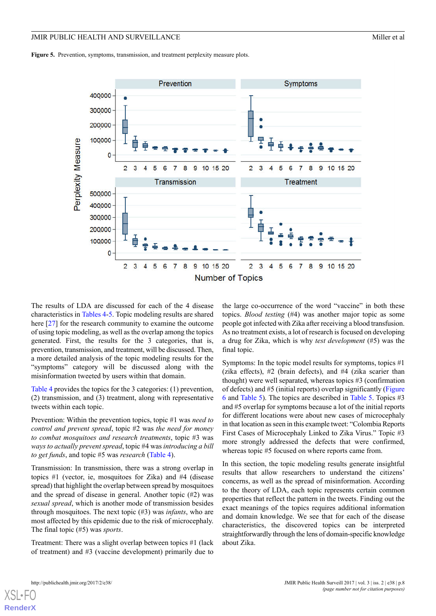<span id="page-8-0"></span>Figure 5. Prevention, symptoms, transmission, and treatment perplexity measure plots.



The results of LDA are discussed for each of the 4 disease characteristics in [Tables 4](#page-9-0)[-5](#page-9-1). Topic modeling results are shared here [[27\]](#page-14-5) for the research community to examine the outcome of using topic modeling, as well as the overlap among the topics generated. First, the results for the 3 categories, that is, prevention, transmission, and treatment, will be discussed. Then, a more detailed analysis of the topic modeling results for the "symptoms" category will be discussed along with the misinformation tweeted by users within that domain.

[Table 4](#page-9-0) provides the topics for the 3 categories: (1) prevention, (2) transmission, and (3) treatment, along with representative tweets within each topic.

Prevention: Within the prevention topics, topic #1 was *need to control and prevent spread*, topic #2 was *the need for money to combat mosquitoes and research treatments*, topic #3 was *ways to actually prevent spread*, topic #4 was *introducing a bill to get funds*, and topic #5 was *research* [\(Table 4\)](#page-9-0).

Transmission: In transmission, there was a strong overlap in topics #1 (vector, ie, mosquitoes for Zika) and #4 (disease spread) that highlight the overlap between spread by mosquitoes and the spread of disease in general. Another topic (#2) was *sexual spread*, which is another mode of transmission besides through mosquitoes. The next topic (#3) was *infants*, who are most affected by this epidemic due to the risk of microcephaly. The final topic (#5) was *sports*.

Treatment: There was a slight overlap between topics #1 (lack of treatment) and #3 (vaccine development) primarily due to

the large co-occurrence of the word "vaccine" in both these topics. *Blood testing* (#4) was another major topic as some people got infected with Zika after receiving a blood transfusion. As no treatment exists, a lot of research is focused on developing a drug for Zika, which is why *test development* (#5) was the final topic.

Symptoms: In the topic model results for symptoms, topics #1 (zika effects), #2 (brain defects), and #4 (zika scarier than thought) were well separated, whereas topics #3 (confirmation of defects) and #5 (initial reports) overlap significantly ([Figure](#page-10-0) [6](#page-10-0) and [Table 5](#page-9-1)). The topics are described in [Table 5](#page-9-1). Topics #3 and #5 overlap for symptoms because a lot of the initial reports for different locations were about new cases of microcephaly in that location as seen in this example tweet: "Colombia Reports First Cases of Microcephaly Linked to Zika Virus." Topic #3 more strongly addressed the defects that were confirmed, whereas topic #5 focused on where reports came from.

In this section, the topic modeling results generate insightful results that allow researchers to understand the citizens' concerns, as well as the spread of misinformation. According to the theory of LDA, each topic represents certain common properties that reflect the pattern in the tweets. Finding out the exact meanings of the topics requires additional information and domain knowledge. We see that for each of the disease characteristics, the discovered topics can be interpreted straightforwardly through the lens of domain-specific knowledge about Zika.

[XSL](http://www.w3.org/Style/XSL)•FO **[RenderX](http://www.renderx.com/)**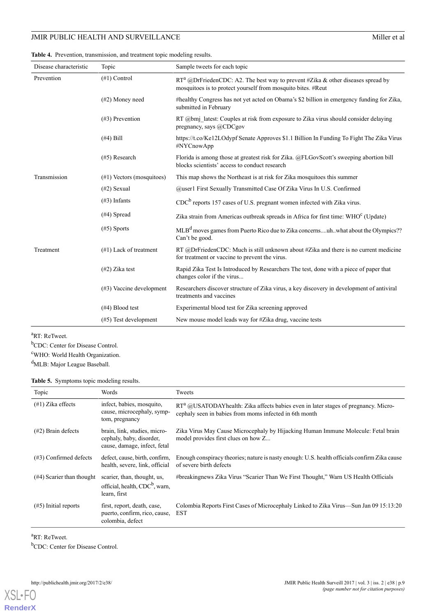#### <span id="page-9-0"></span>**Table 4.** Prevention, transmission, and treatment topic modeling results.

| Disease characteristic | Topic                        | Sample tweets for each topic                                                                                                                       |
|------------------------|------------------------------|----------------------------------------------------------------------------------------------------------------------------------------------------|
| Prevention             | $(\#1)$ Control              | $RT^a$ @DrFriedenCDC: A2. The best way to prevent #Zika & other diseases spread by<br>mosquitoes is to protect yourself from mosquito bites. #Reut |
|                        | $(\#2)$ Money need           | #healthy Congress has not yet acted on Obama's \$2 billion in emergency funding for Zika,<br>submitted in February                                 |
|                        | $(\#3)$ Prevention           | RT $@bmi$ latest: Couples at risk from exposure to Zika virus should consider delaying<br>pregnancy, says @CDCgov                                  |
|                        | $(\#4)$ Bill                 | https://t.co/Ke12LOdypf Senate Approves \$1.1 Billion In Funding To Fight The Zika Virus<br>#NYCnowApp                                             |
|                        | $(#5)$ Research              | Florida is among those at greatest risk for Zika. @FLGovScott's sweeping abortion bill<br>blocks scientists' access to conduct research            |
| Transmission           | $(\#1)$ Vectors (mosquitoes) | This map shows the Northeast is at risk for Zika mosquitoes this summer                                                                            |
|                        | $(42)$ Sexual                | @user1 First Sexually Transmitted Case Of Zika Virus In U.S. Confirmed                                                                             |
|                        | $(\#3)$ Infants              | $CDCb$ reports 157 cases of U.S. pregnant women infected with Zika virus.                                                                          |
|                        | $(#4)$ Spread                | Zika strain from Americas outbreak spreads in Africa for first time: WHO <sup>c</sup> (Update)                                                     |
|                        | $(#5)$ Sports                | MLB <sup>d</sup> moves games from Puerto Rico due to Zika concernsuh. what about the Olympics??<br>Can't be good.                                  |
| Treatment              | $(\#1)$ Lack of treatment    | RT @DrFriedenCDC: Much is still unknown about #Zika and there is no current medicine<br>for treatment or vaccine to prevent the virus.             |
|                        | $(42)$ Zika test             | Rapid Zika Test Is Introduced by Researchers The test, done with a piece of paper that<br>changes color if the virus                               |
|                        | $(\#3)$ Vaccine development  | Researchers discover structure of Zika virus, a key discovery in development of antiviral<br>treatments and vaccines                               |
|                        | $(\#4)$ Blood test           | Experimental blood test for Zika screening approved                                                                                                |
|                        | $(\#5)$ Test development     | New mouse model leads way for #Zika drug, vaccine tests                                                                                            |

<sup>a</sup>RT: ReTweet.

<span id="page-9-1"></span><sup>b</sup>CDC: Center for Disease Control.

<sup>c</sup>WHO: World Health Organization.

<sup>d</sup>MLB: Major League Baseball.

### **Table 5.** Symptoms topic modeling results.

| Topic                        | Words                                                                                     | Tweets                                                                                                                                           |
|------------------------------|-------------------------------------------------------------------------------------------|--------------------------------------------------------------------------------------------------------------------------------------------------|
| $(\#1)$ Zika effects         | infect, babies, mosquito,<br>cause, microcephaly, symp-<br>tom, pregnancy                 | $RT^a$ @USATODAY health: Zika affects babies even in later stages of pregnancy. Micro-<br>cephaly seen in babies from moms infected in 6th month |
| $(\#2)$ Brain defects        | brain, link, studies, micro-<br>cephaly, baby, disorder,<br>cause, damage, infect, fetal  | Zika Virus May Cause Microcephaly by Hijacking Human Immune Molecule: Fetal brain<br>model provides first clues on how Z                         |
| $(\#3)$ Confirmed defects    | defect, cause, birth, confirm,<br>health, severe, link, official                          | Enough conspiracy theories; nature is nasty enough: U.S. health officials confirm Zika cause<br>of severe birth defects                          |
| $(\#4)$ Scarier than thought | scarier, than, thought, us,<br>official, health, CDC <sup>b</sup> , warn,<br>learn, first | #breakingnews Zika Virus "Scarier Than We First Thought," Warn US Health Officials                                                               |
| $(\#5)$ Initial reports      | first, report, death, case,<br>puerto, confirm, rico, cause,<br>colombia, defect          | Colombia Reports First Cases of Microcephaly Linked to Zika Virus—Sun Jan 09 15:13:20<br><b>EST</b>                                              |

<sup>a</sup>RT: ReTweet.

<sup>b</sup>CDC: Center for Disease Control.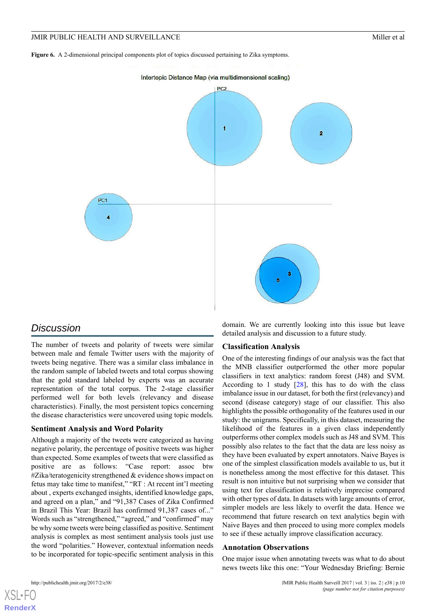<span id="page-10-0"></span>**Figure 6.** A 2-dimensional principal components plot of topics discussed pertaining to Zika symptoms.



## *Discussion*

The number of tweets and polarity of tweets were similar between male and female Twitter users with the majority of tweets being negative. There was a similar class imbalance in the random sample of labeled tweets and total corpus showing that the gold standard labeled by experts was an accurate representation of the total corpus. The 2-stage classifier performed well for both levels (relevancy and disease characteristics). Finally, the most persistent topics concerning the disease characteristics were uncovered using topic models.

#### **Sentiment Analysis and Word Polarity**

Although a majority of the tweets were categorized as having negative polarity, the percentage of positive tweets was higher than expected. Some examples of tweets that were classified as positive are as follows: "Case report: assoc btw #Zika/teratogenicity strengthened & evidence shows impact on fetus may take time to manifest," "RT : At recent int'l meeting about , experts exchanged insights, identified knowledge gaps, and agreed on a plan," and "91,387 Cases of Zika Confirmed in Brazil This Year: Brazil has confirmed 91,387 cases of..." Words such as "strengthened," "agreed," and "confirmed" may be why some tweets were being classified as positive. Sentiment analysis is complex as most sentiment analysis tools just use the word "polarities." However, contextual information needs to be incorporated for topic-specific sentiment analysis in this

domain. We are currently looking into this issue but leave detailed analysis and discussion to a future study.

## **Classification Analysis**

One of the interesting findings of our analysis was the fact that the MNB classifier outperformed the other more popular classifiers in text analytics: random forest (J48) and SVM. According to 1 study  $[28]$  $[28]$ , this has to do with the class imbalance issue in our dataset, for both the first (relevancy) and second (disease category) stage of our classifier. This also highlights the possible orthogonality of the features used in our study: the unigrams. Specifically, in this dataset, measuring the likelihood of the features in a given class independently outperforms other complex models such as J48 and SVM. This possibly also relates to the fact that the data are less noisy as they have been evaluated by expert annotators. Naive Bayes is one of the simplest classification models available to us, but it is nonetheless among the most effective for this dataset. This result is non intuitive but not surprising when we consider that using text for classification is relatively imprecise compared with other types of data. In datasets with large amounts of error, simpler models are less likely to overfit the data. Hence we recommend that future research on text analytics begin with Naive Bayes and then proceed to using more complex models to see if these actually improve classification accuracy.

#### **Annotation Observations**

One major issue when annotating tweets was what to do about news tweets like this one: "Your Wednesday Briefing: Bernie

**[RenderX](http://www.renderx.com/)**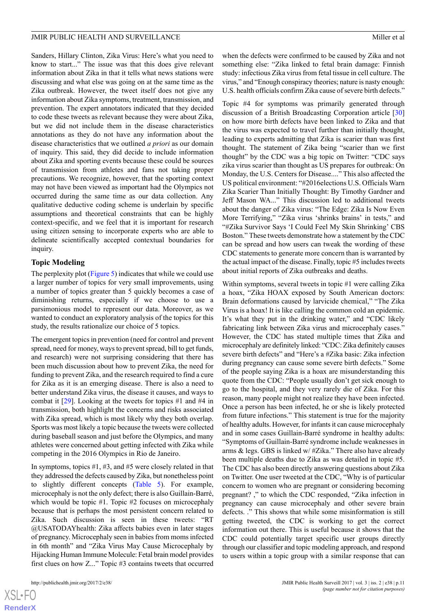Sanders, Hillary Clinton, Zika Virus: Here's what you need to know to start..." The issue was that this does give relevant information about Zika in that it tells what news stations were discussing and what else was going on at the same time as the Zika outbreak. However, the tweet itself does not give any information about Zika symptoms, treatment, transmission, and prevention. The expert annotators indicated that they decided to code these tweets as relevant because they were about Zika, but we did not include them in the disease characteristics annotations as they do not have any information about the disease characteristics that we outlined *a priori* as our domain of inquiry. This said, they did decide to include information about Zika and sporting events because these could be sources of transmission from athletes and fans not taking proper precautions. We recognize, however, that the sporting context may not have been viewed as important had the Olympics not occurred during the same time as our data collection. Any qualitative deductive coding scheme is underlain by specific assumptions and theoretical constraints that can be highly context-specific, and we feel that it is important for research using citizen sensing to incorporate experts who are able to delineate scientifically accepted contextual boundaries for inquiry.

#### **Topic Modeling**

The perplexity plot [\(Figure 5](#page-8-0)) indicates that while we could use a larger number of topics for very small improvements, using a number of topics greater than 5 quickly becomes a case of diminishing returns, especially if we choose to use a parsimonious model to represent our data. Moreover, as we wanted to conduct an exploratory analysis of the topics for this study, the results rationalize our choice of 5 topics.

The emergent topics in prevention (need for control and prevent spread, need for money, ways to prevent spread, bill to get funds, and research) were not surprising considering that there has been much discussion about how to prevent Zika, the need for funding to prevent Zika, and the research required to find a cure for Zika as it is an emerging disease. There is also a need to better understand Zika virus, the disease it causes, and ways to combat it [\[29](#page-14-7)]. Looking at the tweets for topics #1 and #4 in transmission, both highlight the concerns and risks associated with Zika spread, which is most likely why they both overlap. Sports was most likely a topic because the tweets were collected during baseball season and just before the Olympics, and many athletes were concerned about getting infected with Zika while competing in the 2016 Olympics in Rio de Janeiro.

In symptoms, topics #1, #3, and #5 were closely related in that they addressed the defects caused by Zika, but nonetheless point to slightly different concepts ([Table 5\)](#page-9-1). For example, microcephaly is not the only defect; there is also Guillain-Barré, which would be topic #1. Topic #2 focuses on microcephaly because that is perhaps the most persistent concern related to Zika. Such discussion is seen in these tweets: "RT @USATODAYhealth: Zika affects babies even in later stages of pregnancy. Microcephaly seen in babies from moms infected in 6th month" and "Zika Virus May Cause Microcephaly by Hijacking Human Immune Molecule: Fetal brain model provides first clues on how Z..." Topic #3 contains tweets that occurred

when the defects were confirmed to be caused by Zika and not something else: "Zika linked to fetal brain damage: Finnish study: infectious Zika virus from fetal tissue in cell culture. The virus," and "Enough conspiracy theories; nature is nasty enough: U.S. health officials confirm Zika cause of severe birth defects."

Topic #4 for symptoms was primarily generated through discussion of a British Broadcasting Corporation article [\[30](#page-14-8)] on how more birth defects have been linked to Zika and that the virus was expected to travel further than initially thought, leading to experts admitting that Zika is scarier than was first thought. The statement of Zika being "scarier than we first thought" by the CDC was a big topic on Twitter: "CDC says zika virus scarier than thought as US prepares for outbreak: On Monday, the U.S. Centers for Disease...." This also affected the US political environment: "#2016elections U.S. Officials Warn Zika Scarier Than Initially Thought: By Timothy Gardner and Jeff Mason WA..." This discussion led to additional tweets about the danger of Zika virus: "The Edge: Zika Is Now Even More Terrifying," "Zika virus 'shrinks brains' in tests," and "#Zika Survivor Says 'I Could Feel My Skin Shrinking' CBS Boston." These tweets demonstrate how a statement by the CDC can be spread and how users can tweak the wording of these CDC statements to generate more concern than is warranted by the actual impact of the disease. Finally, topic #5 includes tweets about initial reports of Zika outbreaks and deaths.

Within symptoms, several tweets in topic #1 were calling Zika a hoax, "Zika HOAX exposed by South American doctors: Brain deformations caused by larvicide chemical," "The Zika Virus is a hoax! It is like calling the common cold an epidemic. It's what they put in the drinking water," and "CDC likely fabricating link between Zika virus and microcephaly cases." However, the CDC has stated multiple times that Zika and microcephaly are definitely linked: "CDC: Zika definitely causes severe birth defects" and "Here's a #Zika basic: Zika infection during pregnancy can cause some severe birth defects." Some of the people saying Zika is a hoax are misunderstanding this quote from the CDC: "People usually don't get sick enough to go to the hospital, and they very rarely die of Zika. For this reason, many people might not realize they have been infected. Once a person has been infected, he or she is likely protected from future infections." This statement is true for the majority of healthy adults. However, for infants it can cause microcephaly and in some cases Guillain-Barré syndrome in healthy adults: "Symptoms of Guillain-Barré syndrome include weaknesses in arms & legs. GBS is linked w/ #Zika." There also have already been multiple deaths due to Zika as was detailed in topic #5. The CDC has also been directly answering questions about Zika on Twitter. One user tweeted at the CDC, "Why is of particular concern to women who are pregnant or considering becoming pregnant? ," to which the CDC responded, "Zika infection in pregnancy can cause microcephaly and other severe brain defects. ." This shows that while some misinformation is still getting tweeted, the CDC is working to get the correct information out there. This is useful because it shows that the CDC could potentially target specific user groups directly through our classifier and topic modeling approach, and respond to users within a topic group with a similar response that can

```
XS-FO
RenderX
```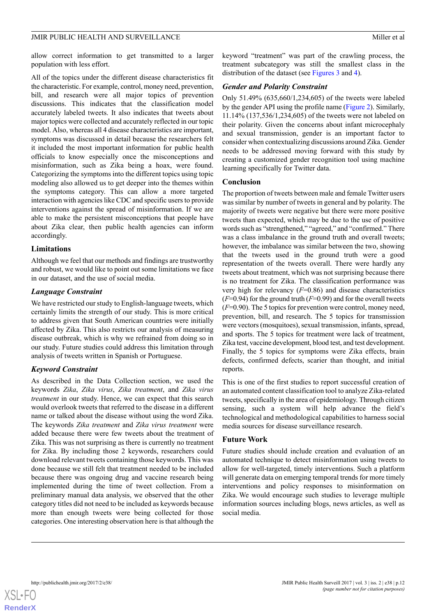allow correct information to get transmitted to a larger population with less effort.

All of the topics under the different disease characteristics fit the characteristic. For example, control, money need, prevention, bill, and research were all major topics of prevention discussions. This indicates that the classification model accurately labeled tweets. It also indicates that tweets about major topics were collected and accurately reflected in our topic model. Also, whereas all 4 disease characteristics are important, symptoms was discussed in detail because the researchers felt it included the most important information for public health officials to know especially once the misconceptions and misinformation, such as Zika being a hoax, were found. Categorizing the symptoms into the different topics using topic modeling also allowed us to get deeper into the themes within the symptoms category. This can allow a more targeted interaction with agencies like CDC and specific users to provide interventions against the spread of misinformation. If we are able to make the persistent misconceptions that people have about Zika clear, then public health agencies can inform accordingly.

### **Limitations**

Although we feel that our methods and findings are trustworthy and robust, we would like to point out some limitations we face in our dataset, and the use of social media.

### *Language Constraint*

We have restricted our study to English-language tweets, which certainly limits the strength of our study. This is more critical to address given that South American countries were initially affected by Zika. This also restricts our analysis of measuring disease outbreak, which is why we refrained from doing so in our study. Future studies could address this limitation through analysis of tweets written in Spanish or Portuguese.

## *Keyword Constraint*

As described in the Data Collection section, we used the keywords *Zika*, *Zika virus*, *Zika treatment*, and *Zika virus treatment* in our study. Hence, we can expect that this search would overlook tweets that referred to the disease in a different name or talked about the disease without using the word Zika. The keywords *Zika treatment* and *Zika virus treatment* were added because there were few tweets about the treatment of Zika. This was not surprising as there is currently no treatment for Zika. By including those 2 keywords, researchers could download relevant tweets containing those keywords. This was done because we still felt that treatment needed to be included because there was ongoing drug and vaccine research being implemented during the time of tweet collection. From a preliminary manual data analysis, we observed that the other category titles did not need to be included as keywords because more than enough tweets were being collected for those categories. One interesting observation here is that although the

keyword "treatment" was part of the crawling process, the treatment subcategory was still the smallest class in the distribution of the dataset (see [Figures 3](#page-5-1) and [4](#page-6-0)).

### *Gender and Polarity Constraint*

Only 51.49% (635,660/1,234,605) of the tweets were labeled by the gender API using the profile name [\(Figure 2\)](#page-5-0). Similarly, 11.14% (137,536/1,234,605) of the tweets were not labeled on their polarity. Given the concerns about infant microcephaly and sexual transmission, gender is an important factor to consider when contextualizing discussions around Zika. Gender needs to be addressed moving forward with this study by creating a customized gender recognition tool using machine learning specifically for Twitter data.

#### **Conclusion**

The proportion of tweets between male and female Twitter users was similar by number of tweets in general and by polarity. The majority of tweets were negative but there were more positive tweets than expected, which may be due to the use of positive words such as "strengthened," "agreed," and "confirmed." There was a class imbalance in the ground truth and overall tweets; however, the imbalance was similar between the two, showing that the tweets used in the ground truth were a good representation of the tweets overall. There were hardly any tweets about treatment, which was not surprising because there is no treatment for Zika. The classification performance was very high for relevancy (*F*=0.86) and disease characteristics  $(F=0.94)$  for the ground truth  $(F=0.99)$  and for the overall tweets (*F*=0.90). The 5 topics for prevention were control, money need, prevention, bill, and research. The 5 topics for transmission were vectors (mosquitoes), sexual transmission, infants, spread, and sports. The 5 topics for treatment were lack of treatment, Zika test, vaccine development, blood test, and test development. Finally, the 5 topics for symptoms were Zika effects, brain defects, confirmed defects, scarier than thought, and initial reports.

This is one of the first studies to report successful creation of an automated content classification tool to analyze Zika-related tweets, specifically in the area of epidemiology. Through citizen sensing, such a system will help advance the field's technological and methodological capabilities to harness social media sources for disease surveillance research.

#### **Future Work**

Future studies should include creation and evaluation of an automated technique to detect misinformation using tweets to allow for well-targeted, timely interventions. Such a platform will generate data on emerging temporal trends for more timely interventions and policy responses to misinformation on Zika. We would encourage such studies to leverage multiple information sources including blogs, news articles, as well as social media.

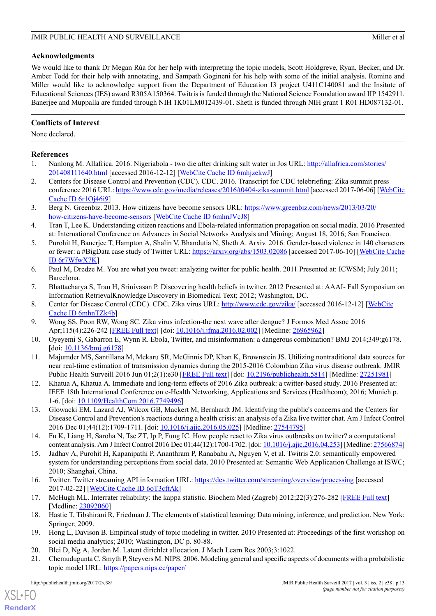## **Acknowledgments**

We would like to thank Dr Megan Rúa for her help with interpreting the topic models, Scott Holdgreve, Ryan, Becker, and Dr. Amber Todd for their help with annotating, and Sampath Gogineni for his help with some of the initial analysis. Romine and Miller would like to acknowledge support from the Department of Education I3 project U411C140081 and the Insitute of Educational Sciences (IES) award R305A150364. Twitris is funded through the National Science Foundation award IIP 1542911. Banerjee and Muppalla are funded through NIH 1K01LM012439-01. Sheth is funded through NIH grant 1 R01 HD087132-01.

## **Conflicts of Interest**

None declared.

## <span id="page-13-0"></span>**References**

- <span id="page-13-1"></span>1. Nanlong M. Allafrica. 2016. Nigeriabola - two die after drinking salt water in Jos URL: [http://allafrica.com/stories/](http://allafrica.com/stories/201408111640.html) [201408111640.html](http://allafrica.com/stories/201408111640.html) [accessed 2016-12-12] [[WebCite Cache ID 6mhjzekwJ\]](http://www.webcitation.org/6mhjzekwJ)
- <span id="page-13-2"></span>2. Centers for Disease Control and Prevention (CDC). CDC. 2016. Transcript for CDC telebriefing: Zika summit press conference 2016 URL:<https://www.cdc.gov/media/releases/2016/t0404-zika-summit.html> [accessed 2017-06-06] [\[WebCite](http://www.webcitation.org/6r1Oj46i9) [Cache ID 6r1Oj46i9](http://www.webcitation.org/6r1Oj46i9)]
- <span id="page-13-3"></span>3. Berg N. Greenbiz. 2013. How citizens have become sensors URL: [https://www.greenbiz.com/news/2013/03/20/](https://www.greenbiz.com/news/2013/03/20/how-citizens-have-become-sensors) [how-citizens-have-become-sensors](https://www.greenbiz.com/news/2013/03/20/how-citizens-have-become-sensors) [[WebCite Cache ID 6mhnJVcJ8\]](http://www.webcitation.org/6mhnJVcJ8)
- <span id="page-13-4"></span>4. Tran T, Lee K. Understanding citizen reactions and Ebola-related information propagation on social media. 2016 Presented at: International Conference on Advances in Social Networks Analysis and Mining; August 18, 2016; San Francisco.
- <span id="page-13-5"></span>5. Purohit H, Banerjee T, Hampton A, Shalin V, Bhandutia N, Sheth A. Arxiv. 2016. Gender-based violence in 140 characters or fewer: a #BigData case study of Twitter URL: <https://arxiv.org/abs/1503.02086> [accessed 2017-06-10] [[WebCite Cache](http://www.webcitation.org/6r7WfwX7K) [ID 6r7WfwX7K](http://www.webcitation.org/6r7WfwX7K)]
- <span id="page-13-7"></span><span id="page-13-6"></span>6. Paul M, Dredze M. You are what you tweet: analyzing twitter for public health. 2011 Presented at: ICWSM; July 2011; Barcelona.
- <span id="page-13-8"></span>7. Bhattacharya S, Tran H, Srinivasan P. Discovering health beliefs in twitter. 2012 Presented at: AAAI- Fall Symposium on Information RetrievalKnowledge Discovery in Biomedical Text; 2012; Washington, DC.
- <span id="page-13-9"></span>8. Center for Disease Control (CDC). CDC. Zika virus URL: <http://www.cdc.gov/zika/> [accessed 2016-12-12] [[WebCite](http://www.webcitation.org/6mhnTZk4b) [Cache ID 6mhnTZk4b\]](http://www.webcitation.org/6mhnTZk4b)
- <span id="page-13-10"></span>9. Wong SS, Poon RW, Wong SC. Zika virus infection-the next wave after dengue? J Formos Med Assoc 2016 Apr;115(4):226-242 [\[FREE Full text\]](https://linkinghub.elsevier.com/retrieve/pii/S0929-6646(16)00077-2) [doi: [10.1016/j.jfma.2016.02.002](http://dx.doi.org/10.1016/j.jfma.2016.02.002)] [Medline: [26965962\]](http://www.ncbi.nlm.nih.gov/entrez/query.fcgi?cmd=Retrieve&db=PubMed&list_uids=26965962&dopt=Abstract)
- <span id="page-13-11"></span>10. Oyeyemi S, Gabarron E, Wynn R. Ebola, Twitter, and misinformation: a dangerous combination? BMJ 2014;349:g6178. [doi: [10.1136/bmj.g6178\]](http://dx.doi.org/10.1136/bmj.g6178)
- <span id="page-13-12"></span>11. Majumder MS, Santillana M, Mekaru SR, McGinnis DP, Khan K, Brownstein JS. Utilizing nontraditional data sources for near real-time estimation of transmission dynamics during the 2015-2016 Colombian Zika virus disease outbreak. JMIR Public Health Surveill 2016 Jun 01;2(1):e30 [\[FREE Full text\]](http://publichealth.jmir.org/2016/1/e30/) [doi: [10.2196/publichealth.5814\]](http://dx.doi.org/10.2196/publichealth.5814) [Medline: [27251981\]](http://www.ncbi.nlm.nih.gov/entrez/query.fcgi?cmd=Retrieve&db=PubMed&list_uids=27251981&dopt=Abstract)
- <span id="page-13-13"></span>12. Khatua A, Khatua A. Immediate and long-term effects of 2016 Zika outbreak: a twitter-based study. 2016 Presented at: IEEE 18th International Conference on e-Health Networking, Applications and Services (Healthcom); 2016; Munich p. 1-6. [doi: [10.1109/HealthCom.2016.7749496](http://dx.doi.org/10.1109/HealthCom.2016.7749496)]
- <span id="page-13-14"></span>13. Glowacki EM, Lazard AJ, Wilcox GB, Mackert M, Bernhardt JM. Identifying the public's concerns and the Centers for Disease Control and Prevention's reactions during a health crisis: an analysis of a Zika live twitter chat. Am J Infect Control 2016 Dec 01;44(12):1709-1711. [doi: [10.1016/j.ajic.2016.05.025\]](http://dx.doi.org/10.1016/j.ajic.2016.05.025) [Medline: [27544795](http://www.ncbi.nlm.nih.gov/entrez/query.fcgi?cmd=Retrieve&db=PubMed&list_uids=27544795&dopt=Abstract)]
- <span id="page-13-15"></span>14. Fu K, Liang H, Saroha N, Tse ZT, Ip P, Fung IC. How people react to Zika virus outbreaks on twitter? a computational content analysis. Am J Infect Control 2016 Dec 01;44(12):1700-1702. [doi: [10.1016/j.ajic.2016.04.253\]](http://dx.doi.org/10.1016/j.ajic.2016.04.253) [Medline: [27566874](http://www.ncbi.nlm.nih.gov/entrez/query.fcgi?cmd=Retrieve&db=PubMed&list_uids=27566874&dopt=Abstract)]
- <span id="page-13-17"></span><span id="page-13-16"></span>15. Jadhav A, Purohit H, Kapanipathi P, Ananthram P, Ranabahu A, Nguyen V, et al. Twitris 2.0: semantically empowered system for understanding perceptions from social data. 2010 Presented at: Semantic Web Application Challenge at ISWC; 2010; Shanghai, China.
- <span id="page-13-18"></span>16. Twitter. Twitter streaming API information URL:<https://dev.twitter.com/streaming/overview/processing> [accessed 2017-02-22] [\[WebCite Cache ID 6oT3cftAk\]](http://www.webcitation.org/6oT3cftAk)
- <span id="page-13-20"></span><span id="page-13-19"></span>17. McHugh ML. Interrater reliability: the kappa statistic. Biochem Med (Zagreb) 2012;22(3):276-282 [\[FREE Full text](http://www.biochemia-medica.com/2012/22/276)] [Medline: [23092060](http://www.ncbi.nlm.nih.gov/entrez/query.fcgi?cmd=Retrieve&db=PubMed&list_uids=23092060&dopt=Abstract)]
- 18. Hastie T, Tibshirani R, Friedman J. The elements of statistical learning: Data mining, inference, and prediction. New York: Springer; 2009.
- 19. Hong L, Davison B. Empirical study of topic modeling in twitter. 2010 Presented at: Proceedings of the first workshop on social media analytics; 2010; Washington, DC p. 80-88.
- 20. Blei D, Ng A, Jordan M. Latent dirichlet allocation. J Mach Learn Res 2003:3:1022.
- 21. Chemudugunta C, Smyth P, Steyvers M. NIPS. 2006. Modeling general and specific aspects of documents with a probabilistic topic model URL: [https://papers.nips.cc/paper/](https://papers.nips.cc/paper/2994-modeling-general-and-specific-aspects-of-documents-with-a-probabilistic-topic-model.pdf)

[XSL](http://www.w3.org/Style/XSL)•FO **[RenderX](http://www.renderx.com/)**